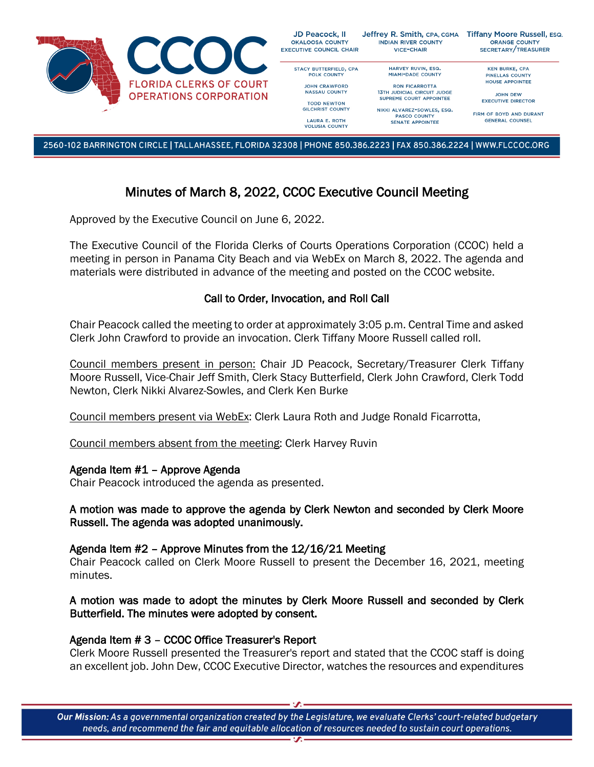

2560-102 BARRINGTON CIRCLE | TALLAHASSEE, FLORIDA 32308 | PHONE 850.386.2223 | FAX 850.386.2224 | WWW.FLCCOC.ORG

# Minutes of March 8, 2022, CCOC Executive Council Meeting

Approved by the Executive Council on June 6, 2022.

The Executive Council of the Florida Clerks of Courts Operations Corporation (CCOC) held a meeting in person in Panama City Beach and via WebEx on March 8, 2022. The agenda and materials were distributed in advance of the meeting and posted on the CCOC website.

## Call to Order, Invocation, and Roll Call

Chair Peacock called the meeting to order at approximately 3:05 p.m. Central Time and asked Clerk John Crawford to provide an invocation. Clerk Tiffany Moore Russell called roll.

Council members present in person: Chair JD Peacock, Secretary/Treasurer Clerk Tiffany Moore Russell, Vice-Chair Jeff Smith, Clerk Stacy Butterfield, Clerk John Crawford, Clerk Todd Newton, Clerk Nikki Alvarez-Sowles, and Clerk Ken Burke

Council members present via WebEx: Clerk Laura Roth and Judge Ronald Ficarrotta,

Council members absent from the meeting: Clerk Harvey Ruvin

### Agenda Item #1 – Approve Agenda

Chair Peacock introduced the agenda as presented.

### A motion was made to approve the agenda by Clerk Newton and seconded by Clerk Moore Russell. The agenda was adopted unanimously.

### Agenda Item #2 – Approve Minutes from the 12/16/21 Meeting

Chair Peacock called on Clerk Moore Russell to present the December 16, 2021, meeting minutes.

## A motion was made to adopt the minutes by Clerk Moore Russell and seconded by Clerk Butterfield. The minutes were adopted by consent.

### Agenda Item # 3 – CCOC Office Treasurer's Report

Clerk Moore Russell presented the Treasurer's report and stated that the CCOC staff is doing an excellent job. John Dew, CCOC Executive Director, watches the resources and expenditures

Our Mission: As a governmental organization created by the Legislature, we evaluate Clerks' court-related budgetary needs, and recommend the fair and equitable allocation of resources needed to sustain court operations.  $\overline{\mathbf{z}}$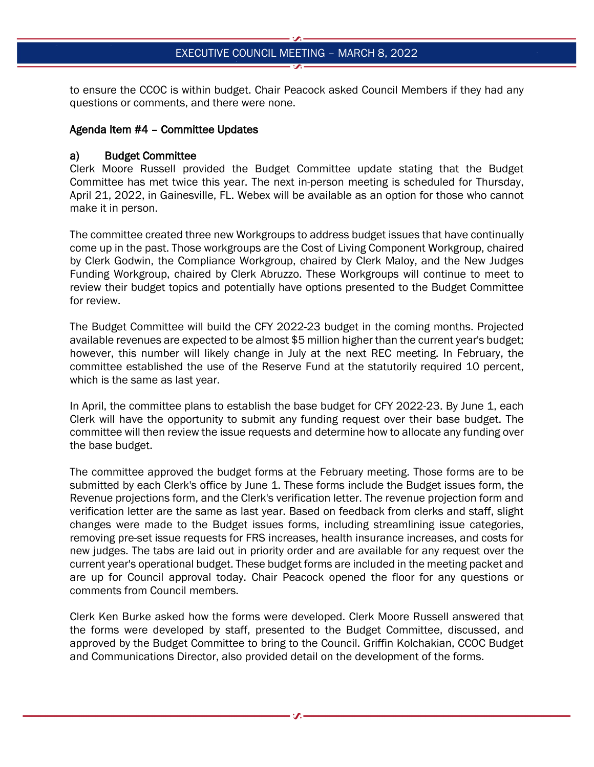to ensure the CCOC is within budget. Chair Peacock asked Council Members if they had any questions or comments, and there were none.

#### Agenda Item #4 – Committee Updates

#### a) Budget Committee

Clerk Moore Russell provided the Budget Committee update stating that the Budget Committee has met twice this year. The next in-person meeting is scheduled for Thursday, April 21, 2022, in Gainesville, FL. Webex will be available as an option for those who cannot make it in person.

The committee created three new Workgroups to address budget issues that have continually come up in the past. Those workgroups are the Cost of Living Component Workgroup, chaired by Clerk Godwin, the Compliance Workgroup, chaired by Clerk Maloy, and the New Judges Funding Workgroup, chaired by Clerk Abruzzo. These Workgroups will continue to meet to review their budget topics and potentially have options presented to the Budget Committee for review.

The Budget Committee will build the CFY 2022-23 budget in the coming months. Projected available revenues are expected to be almost \$5 million higher than the current year's budget; however, this number will likely change in July at the next REC meeting. In February, the committee established the use of the Reserve Fund at the statutorily required 10 percent, which is the same as last year.

In April, the committee plans to establish the base budget for CFY 2022-23. By June 1, each Clerk will have the opportunity to submit any funding request over their base budget. The committee will then review the issue requests and determine how to allocate any funding over the base budget.

The committee approved the budget forms at the February meeting. Those forms are to be submitted by each Clerk's office by June 1. These forms include the Budget issues form, the Revenue projections form, and the Clerk's verification letter. The revenue projection form and verification letter are the same as last year. Based on feedback from clerks and staff, slight changes were made to the Budget issues forms, including streamlining issue categories, removing pre-set issue requests for FRS increases, health insurance increases, and costs for new judges. The tabs are laid out in priority order and are available for any request over the current year's operational budget. These budget forms are included in the meeting packet and are up for Council approval today. Chair Peacock opened the floor for any questions or comments from Council members.

Clerk Ken Burke asked how the forms were developed. Clerk Moore Russell answered that the forms were developed by staff, presented to the Budget Committee, discussed, and approved by the Budget Committee to bring to the Council. Griffin Kolchakian, CCOC Budget and Communications Director, also provided detail on the development of the forms.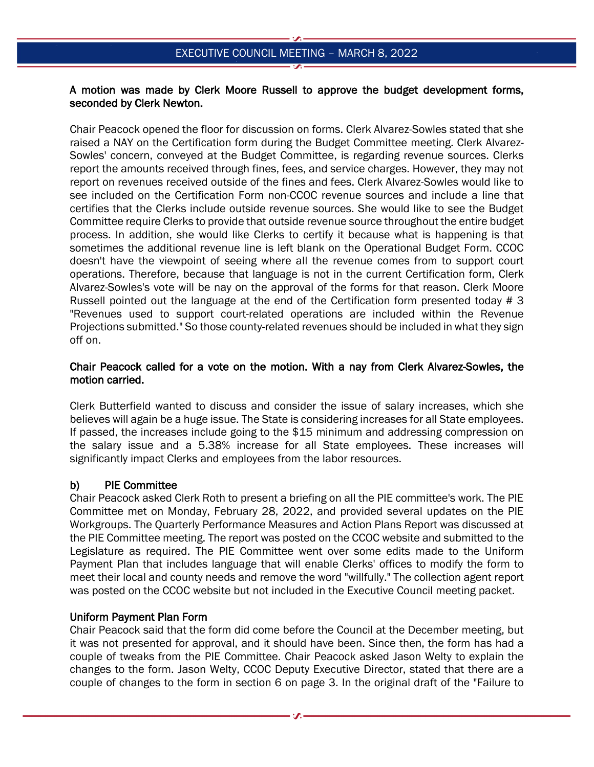#### A motion was made by Clerk Moore Russell to approve the budget development forms, seconded by Clerk Newton.

Chair Peacock opened the floor for discussion on forms. Clerk Alvarez-Sowles stated that she raised a NAY on the Certification form during the Budget Committee meeting. Clerk Alvarez-Sowles' concern, conveyed at the Budget Committee, is regarding revenue sources. Clerks report the amounts received through fines, fees, and service charges. However, they may not report on revenues received outside of the fines and fees. Clerk Alvarez-Sowles would like to see included on the Certification Form non-CCOC revenue sources and include a line that certifies that the Clerks include outside revenue sources. She would like to see the Budget Committee require Clerks to provide that outside revenue source throughout the entire budget process. In addition, she would like Clerks to certify it because what is happening is that sometimes the additional revenue line is left blank on the Operational Budget Form. CCOC doesn't have the viewpoint of seeing where all the revenue comes from to support court operations. Therefore, because that language is not in the current Certification form, Clerk Alvarez-Sowles's vote will be nay on the approval of the forms for that reason. Clerk Moore Russell pointed out the language at the end of the Certification form presented today # 3 "Revenues used to support court-related operations are included within the Revenue Projections submitted." So those county-related revenues should be included in what they sign off on.

### Chair Peacock called for a vote on the motion. With a nay from Clerk Alvarez-Sowles, the motion carried.

Clerk Butterfield wanted to discuss and consider the issue of salary increases, which she believes will again be a huge issue. The State is considering increases for all State employees. If passed, the increases include going to the \$15 minimum and addressing compression on the salary issue and a 5.38% increase for all State employees. These increases will significantly impact Clerks and employees from the labor resources.

### b) PIE Committee

Chair Peacock asked Clerk Roth to present a briefing on all the PIE committee's work. The PIE Committee met on Monday, February 28, 2022, and provided several updates on the PIE Workgroups. The Quarterly Performance Measures and Action Plans Report was discussed at the PIE Committee meeting. The report was posted on the CCOC website and submitted to the Legislature as required. The PIE Committee went over some edits made to the Uniform Payment Plan that includes language that will enable Clerks' offices to modify the form to meet their local and county needs and remove the word "willfully." The collection agent report was posted on the CCOC website but not included in the Executive Council meeting packet.

### Uniform Payment Plan Form

Chair Peacock said that the form did come before the Council at the December meeting, but it was not presented for approval, and it should have been. Since then, the form has had a couple of tweaks from the PIE Committee. Chair Peacock asked Jason Welty to explain the changes to the form. Jason Welty, CCOC Deputy Executive Director, stated that there are a couple of changes to the form in section 6 on page 3. In the original draft of the "Failure to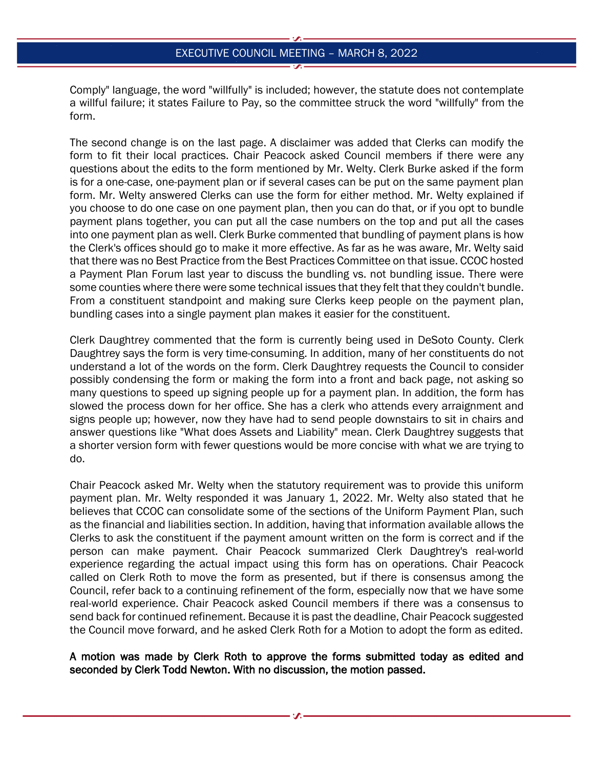Comply" language, the word "willfully" is included; however, the statute does not contemplate a willful failure; it states Failure to Pay, so the committee struck the word "willfully" from the form.

The second change is on the last page. A disclaimer was added that Clerks can modify the form to fit their local practices. Chair Peacock asked Council members if there were any questions about the edits to the form mentioned by Mr. Welty. Clerk Burke asked if the form is for a one-case, one-payment plan or if several cases can be put on the same payment plan form. Mr. Welty answered Clerks can use the form for either method. Mr. Welty explained if you choose to do one case on one payment plan, then you can do that, or if you opt to bundle payment plans together, you can put all the case numbers on the top and put all the cases into one payment plan as well. Clerk Burke commented that bundling of payment plans is how the Clerk's offices should go to make it more effective. As far as he was aware, Mr. Welty said that there was no Best Practice from the Best Practices Committee on that issue. CCOC hosted a Payment Plan Forum last year to discuss the bundling vs. not bundling issue. There were some counties where there were some technical issues that they felt that they couldn't bundle. From a constituent standpoint and making sure Clerks keep people on the payment plan, bundling cases into a single payment plan makes it easier for the constituent.

Clerk Daughtrey commented that the form is currently being used in DeSoto County. Clerk Daughtrey says the form is very time-consuming. In addition, many of her constituents do not understand a lot of the words on the form. Clerk Daughtrey requests the Council to consider possibly condensing the form or making the form into a front and back page, not asking so many questions to speed up signing people up for a payment plan. In addition, the form has slowed the process down for her office. She has a clerk who attends every arraignment and signs people up; however, now they have had to send people downstairs to sit in chairs and answer questions like "What does Assets and Liability" mean. Clerk Daughtrey suggests that a shorter version form with fewer questions would be more concise with what we are trying to do.

Chair Peacock asked Mr. Welty when the statutory requirement was to provide this uniform payment plan. Mr. Welty responded it was January 1, 2022. Mr. Welty also stated that he believes that CCOC can consolidate some of the sections of the Uniform Payment Plan, such as the financial and liabilities section. In addition, having that information available allows the Clerks to ask the constituent if the payment amount written on the form is correct and if the person can make payment. Chair Peacock summarized Clerk Daughtrey's real-world experience regarding the actual impact using this form has on operations. Chair Peacock called on Clerk Roth to move the form as presented, but if there is consensus among the Council, refer back to a continuing refinement of the form, especially now that we have some real-world experience. Chair Peacock asked Council members if there was a consensus to send back for continued refinement. Because it is past the deadline, Chair Peacock suggested the Council move forward, and he asked Clerk Roth for a Motion to adopt the form as edited.

#### A motion was made by Clerk Roth to approve the forms submitted today as edited and seconded by Clerk Todd Newton. With no discussion, the motion passed.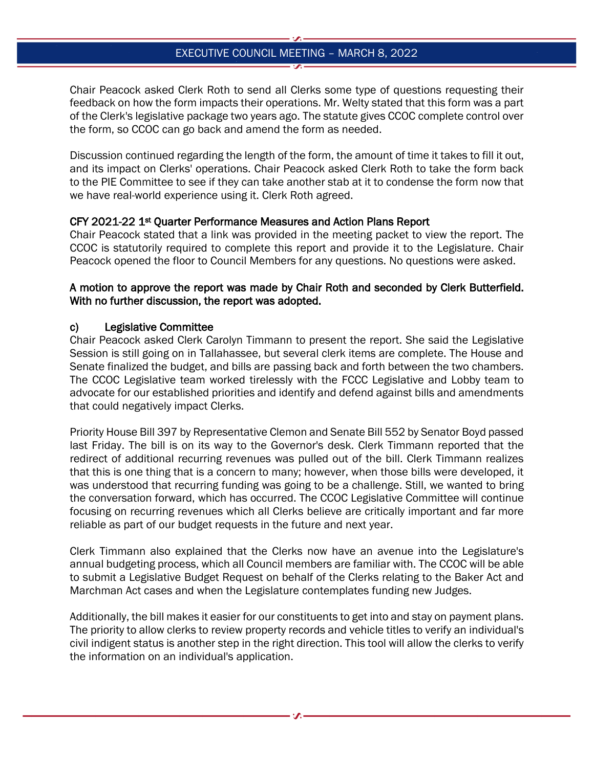Chair Peacock asked Clerk Roth to send all Clerks some type of questions requesting their feedback on how the form impacts their operations. Mr. Welty stated that this form was a part of the Clerk's legislative package two years ago. The statute gives CCOC complete control over the form, so CCOC can go back and amend the form as needed.

Discussion continued regarding the length of the form, the amount of time it takes to fill it out, and its impact on Clerks' operations. Chair Peacock asked Clerk Roth to take the form back to the PIE Committee to see if they can take another stab at it to condense the form now that we have real-world experience using it. Clerk Roth agreed.

## CFY 2021-22 1st Quarter Performance Measures and Action Plans Report

Chair Peacock stated that a link was provided in the meeting packet to view the report. The CCOC is statutorily required to complete this report and provide it to the Legislature. Chair Peacock opened the floor to Council Members for any questions. No questions were asked.

## A motion to approve the report was made by Chair Roth and seconded by Clerk Butterfield. With no further discussion, the report was adopted.

## c) Legislative Committee

Chair Peacock asked Clerk Carolyn Timmann to present the report. She said the Legislative Session is still going on in Tallahassee, but several clerk items are complete. The House and Senate finalized the budget, and bills are passing back and forth between the two chambers. The CCOC Legislative team worked tirelessly with the FCCC Legislative and Lobby team to advocate for our established priorities and identify and defend against bills and amendments that could negatively impact Clerks.

Priority House Bill 397 by Representative Clemon and Senate Bill 552 by Senator Boyd passed last Friday. The bill is on its way to the Governor's desk. Clerk Timmann reported that the redirect of additional recurring revenues was pulled out of the bill. Clerk Timmann realizes that this is one thing that is a concern to many; however, when those bills were developed, it was understood that recurring funding was going to be a challenge. Still, we wanted to bring the conversation forward, which has occurred. The CCOC Legislative Committee will continue focusing on recurring revenues which all Clerks believe are critically important and far more reliable as part of our budget requests in the future and next year.

Clerk Timmann also explained that the Clerks now have an avenue into the Legislature's annual budgeting process, which all Council members are familiar with. The CCOC will be able to submit a Legislative Budget Request on behalf of the Clerks relating to the Baker Act and Marchman Act cases and when the Legislature contemplates funding new Judges.

Additionally, the bill makes it easier for our constituents to get into and stay on payment plans. The priority to allow clerks to review property records and vehicle titles to verify an individual's civil indigent status is another step in the right direction. This tool will allow the clerks to verify the information on an individual's application.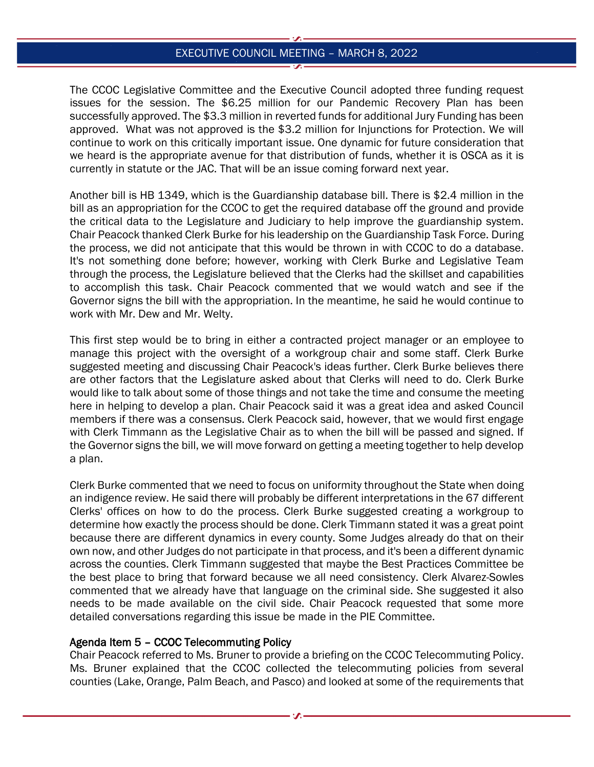The CCOC Legislative Committee and the Executive Council adopted three funding request issues for the session. The \$6.25 million for our Pandemic Recovery Plan has been successfully approved. The \$3.3 million in reverted funds for additional Jury Funding has been approved. What was not approved is the \$3.2 million for Injunctions for Protection. We will continue to work on this critically important issue. One dynamic for future consideration that we heard is the appropriate avenue for that distribution of funds, whether it is OSCA as it is currently in statute or the JAC. That will be an issue coming forward next year.

Another bill is HB 1349, which is the Guardianship database bill. There is \$2.4 million in the bill as an appropriation for the CCOC to get the required database off the ground and provide the critical data to the Legislature and Judiciary to help improve the guardianship system. Chair Peacock thanked Clerk Burke for his leadership on the Guardianship Task Force. During the process, we did not anticipate that this would be thrown in with CCOC to do a database. It's not something done before; however, working with Clerk Burke and Legislative Team through the process, the Legislature believed that the Clerks had the skillset and capabilities to accomplish this task. Chair Peacock commented that we would watch and see if the Governor signs the bill with the appropriation. In the meantime, he said he would continue to work with Mr. Dew and Mr. Welty.

This first step would be to bring in either a contracted project manager or an employee to manage this project with the oversight of a workgroup chair and some staff. Clerk Burke suggested meeting and discussing Chair Peacock's ideas further. Clerk Burke believes there are other factors that the Legislature asked about that Clerks will need to do. Clerk Burke would like to talk about some of those things and not take the time and consume the meeting here in helping to develop a plan. Chair Peacock said it was a great idea and asked Council members if there was a consensus. Clerk Peacock said, however, that we would first engage with Clerk Timmann as the Legislative Chair as to when the bill will be passed and signed. If the Governor signs the bill, we will move forward on getting a meeting together to help develop a plan.

Clerk Burke commented that we need to focus on uniformity throughout the State when doing an indigence review. He said there will probably be different interpretations in the 67 different Clerks' offices on how to do the process. Clerk Burke suggested creating a workgroup to determine how exactly the process should be done. Clerk Timmann stated it was a great point because there are different dynamics in every county. Some Judges already do that on their own now, and other Judges do not participate in that process, and it's been a different dynamic across the counties. Clerk Timmann suggested that maybe the Best Practices Committee be the best place to bring that forward because we all need consistency. Clerk Alvarez-Sowles commented that we already have that language on the criminal side. She suggested it also needs to be made available on the civil side. Chair Peacock requested that some more detailed conversations regarding this issue be made in the PIE Committee.

#### Agenda Item 5 – CCOC Telecommuting Policy

Chair Peacock referred to Ms. Bruner to provide a briefing on the CCOC Telecommuting Policy. Ms. Bruner explained that the CCOC collected the telecommuting policies from several counties (Lake, Orange, Palm Beach, and Pasco) and looked at some of the requirements that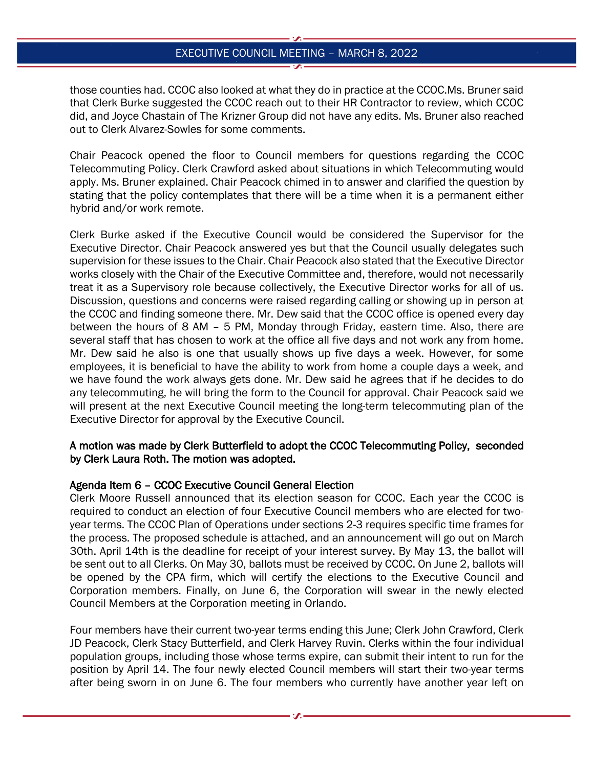those counties had. CCOC also looked at what they do in practice at the CCOC.Ms. Bruner said that Clerk Burke suggested the CCOC reach out to their HR Contractor to review, which CCOC did, and Joyce Chastain of The Krizner Group did not have any edits. Ms. Bruner also reached out to Clerk Alvarez-Sowles for some comments.

Chair Peacock opened the floor to Council members for questions regarding the CCOC Telecommuting Policy. Clerk Crawford asked about situations in which Telecommuting would apply. Ms. Bruner explained. Chair Peacock chimed in to answer and clarified the question by stating that the policy contemplates that there will be a time when it is a permanent either hybrid and/or work remote.

Clerk Burke asked if the Executive Council would be considered the Supervisor for the Executive Director. Chair Peacock answered yes but that the Council usually delegates such supervision for these issues to the Chair. Chair Peacock also stated that the Executive Director works closely with the Chair of the Executive Committee and, therefore, would not necessarily treat it as a Supervisory role because collectively, the Executive Director works for all of us. Discussion, questions and concerns were raised regarding calling or showing up in person at the CCOC and finding someone there. Mr. Dew said that the CCOC office is opened every day between the hours of 8 AM – 5 PM, Monday through Friday, eastern time. Also, there are several staff that has chosen to work at the office all five days and not work any from home. Mr. Dew said he also is one that usually shows up five days a week. However, for some employees, it is beneficial to have the ability to work from home a couple days a week, and we have found the work always gets done. Mr. Dew said he agrees that if he decides to do any telecommuting, he will bring the form to the Council for approval. Chair Peacock said we will present at the next Executive Council meeting the long-term telecommuting plan of the Executive Director for approval by the Executive Council.

### A motion was made by Clerk Butterfield to adopt the CCOC Telecommuting Policy, seconded by Clerk Laura Roth. The motion was adopted.

### Agenda Item 6 – CCOC Executive Council General Election

Clerk Moore Russell announced that its election season for CCOC. Each year the CCOC is required to conduct an election of four Executive Council members who are elected for twoyear terms. The CCOC Plan of Operations under sections 2-3 requires specific time frames for the process. The proposed schedule is attached, and an announcement will go out on March 30th. April 14th is the deadline for receipt of your interest survey. By May 13, the ballot will be sent out to all Clerks. On May 30, ballots must be received by CCOC. On June 2, ballots will be opened by the CPA firm, which will certify the elections to the Executive Council and Corporation members. Finally, on June 6, the Corporation will swear in the newly elected Council Members at the Corporation meeting in Orlando.

Four members have their current two-year terms ending this June; Clerk John Crawford, Clerk JD Peacock, Clerk Stacy Butterfield, and Clerk Harvey Ruvin. Clerks within the four individual population groups, including those whose terms expire, can submit their intent to run for the position by April 14. The four newly elected Council members will start their two-year terms after being sworn in on June 6. The four members who currently have another year left on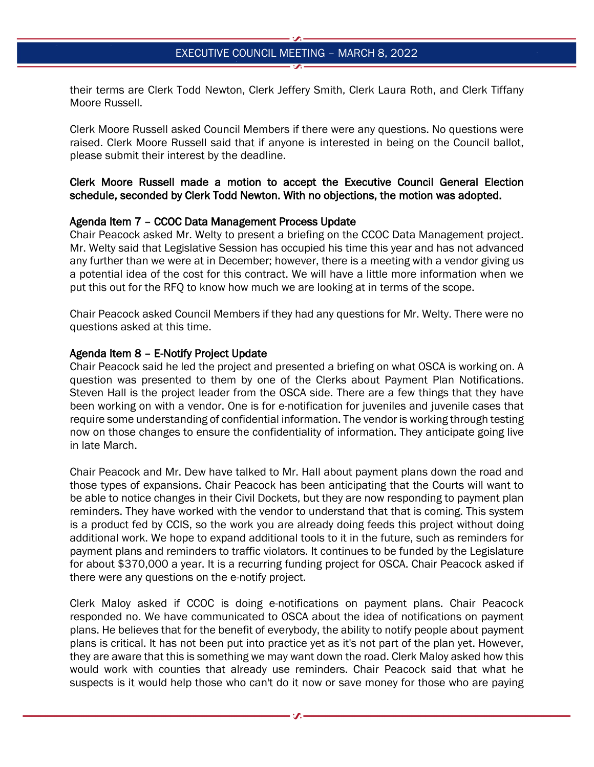their terms are Clerk Todd Newton, Clerk Jeffery Smith, Clerk Laura Roth, and Clerk Tiffany Moore Russell.

Clerk Moore Russell asked Council Members if there were any questions. No questions were raised. Clerk Moore Russell said that if anyone is interested in being on the Council ballot, please submit their interest by the deadline.

### Clerk Moore Russell made a motion to accept the Executive Council General Election schedule, seconded by Clerk Todd Newton. With no objections, the motion was adopted.

#### Agenda Item 7 – CCOC Data Management Process Update

Chair Peacock asked Mr. Welty to present a briefing on the CCOC Data Management project. Mr. Welty said that Legislative Session has occupied his time this year and has not advanced any further than we were at in December; however, there is a meeting with a vendor giving us a potential idea of the cost for this contract. We will have a little more information when we put this out for the RFQ to know how much we are looking at in terms of the scope.

Chair Peacock asked Council Members if they had any questions for Mr. Welty. There were no questions asked at this time.

#### Agenda Item 8 – E-Notify Project Update

Chair Peacock said he led the project and presented a briefing on what OSCA is working on. A question was presented to them by one of the Clerks about Payment Plan Notifications. Steven Hall is the project leader from the OSCA side. There are a few things that they have been working on with a vendor. One is for e-notification for juveniles and juvenile cases that require some understanding of confidential information. The vendor is working through testing now on those changes to ensure the confidentiality of information. They anticipate going live in late March.

Chair Peacock and Mr. Dew have talked to Mr. Hall about payment plans down the road and those types of expansions. Chair Peacock has been anticipating that the Courts will want to be able to notice changes in their Civil Dockets, but they are now responding to payment plan reminders. They have worked with the vendor to understand that that is coming. This system is a product fed by CCIS, so the work you are already doing feeds this project without doing additional work. We hope to expand additional tools to it in the future, such as reminders for payment plans and reminders to traffic violators. It continues to be funded by the Legislature for about \$370,000 a year. It is a recurring funding project for OSCA. Chair Peacock asked if there were any questions on the e-notify project.

Clerk Maloy asked if CCOC is doing e-notifications on payment plans. Chair Peacock responded no. We have communicated to OSCA about the idea of notifications on payment plans. He believes that for the benefit of everybody, the ability to notify people about payment plans is critical. It has not been put into practice yet as it's not part of the plan yet. However, they are aware that this is something we may want down the road. Clerk Maloy asked how this would work with counties that already use reminders. Chair Peacock said that what he suspects is it would help those who can't do it now or save money for those who are paying